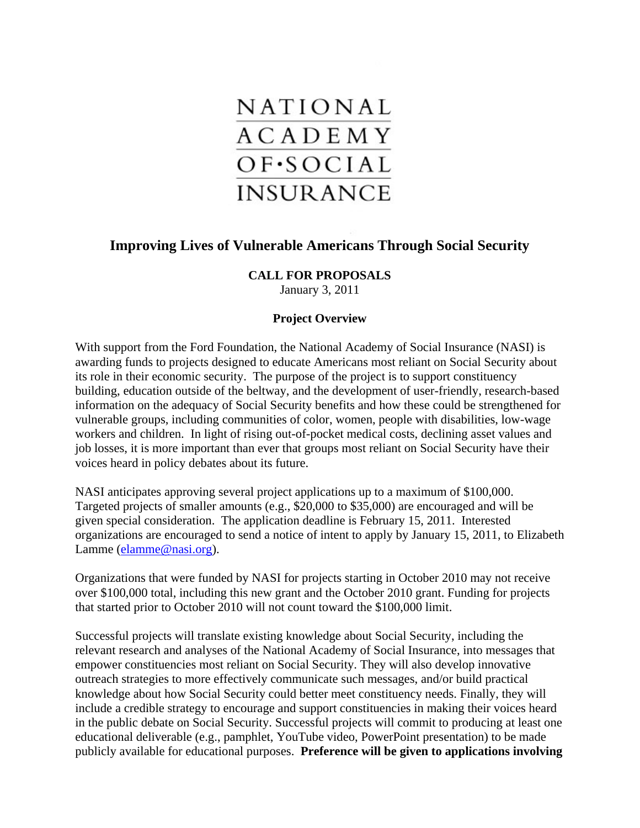

# **Improving Lives of Vulnerable Americans Through Social Security**

# **CALL FOR PROPOSALS**

January 3, 2011

### **Project Overview**

With support from the Ford Foundation, the National Academy of Social Insurance (NASI) is awarding funds to projects designed to educate Americans most reliant on Social Security about its role in their economic security. The purpose of the project is to support constituency building, education outside of the beltway, and the development of user-friendly, research-based information on the adequacy of Social Security benefits and how these could be strengthened for vulnerable groups, including communities of color, women, people with disabilities, low-wage workers and children. In light of rising out-of-pocket medical costs, declining asset values and job losses, it is more important than ever that groups most reliant on Social Security have their voices heard in policy debates about its future.

NASI anticipates approving several project applications up to a maximum of \$100,000. Targeted projects of smaller amounts (e.g., \$20,000 to \$35,000) are encouraged and will be given special consideration. The application deadline is February 15, 2011. Interested organizations are encouraged to send a notice of intent to apply by January 15, 2011, to Elizabeth Lamme ([elamme@nasi.org](mailto:elamme@nasi.org)).

Organizations that were funded by NASI for projects starting in October 2010 may not receive over \$100,000 total, including this new grant and the October 2010 grant. Funding for projects that started prior to October 2010 will not count toward the \$100,000 limit.

Successful projects will translate existing knowledge about Social Security, including the relevant research and analyses of the National Academy of Social Insurance, into messages that empower constituencies most reliant on Social Security. They will also develop innovative outreach strategies to more effectively communicate such messages, and/or build practical knowledge about how Social Security could better meet constituency needs. Finally, they will include a credible strategy to encourage and support constituencies in making their voices heard in the public debate on Social Security. Successful projects will commit to producing at least one educational deliverable (e.g., pamphlet, YouTube video, PowerPoint presentation) to be made publicly available for educational purposes. **Preference will be given to applications involving**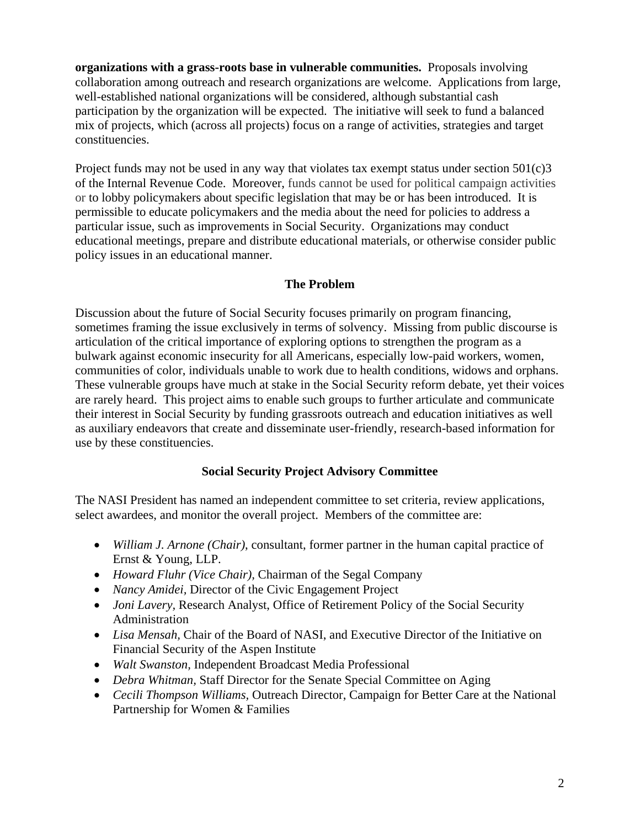**organizations with a grass-roots base in vulnerable communities.** Proposals involving collaboration among outreach and research organizations are welcome. Applications from large, well-established national organizations will be considered, although substantial cash participation by the organization will be expected. The initiative will seek to fund a balanced mix of projects, which (across all projects) focus on a range of activities, strategies and target constituencies.

Project funds may not be used in any way that violates tax exempt status under section  $501(c)3$ of the Internal Revenue Code. Moreover, funds cannot be used for political campaign activities or to lobby policymakers about specific legislation that may be or has been introduced. It is permissible to educate policymakers and the media about the need for policies to address a particular issue, such as improvements in Social Security. Organizations may conduct educational meetings, prepare and distribute educational materials, or otherwise consider public policy issues in an educational manner.

# **The Problem**

Discussion about the future of Social Security focuses primarily on program financing, sometimes framing the issue exclusively in terms of solvency. Missing from public discourse is articulation of the critical importance of exploring options to strengthen the program as a bulwark against economic insecurity for all Americans, especially low-paid workers, women, communities of color, individuals unable to work due to health conditions, widows and orphans. These vulnerable groups have much at stake in the Social Security reform debate, yet their voices are rarely heard. This project aims to enable such groups to further articulate and communicate their interest in Social Security by funding grassroots outreach and education initiatives as well as auxiliary endeavors that create and disseminate user-friendly, research-based information for use by these constituencies.

### **Social Security Project Advisory Committee**

The NASI President has named an independent committee to set criteria, review applications, select awardees, and monitor the overall project. Members of the committee are:

- *William J. Arnone (Chair)*, consultant, former partner in the human capital practice of Ernst & Young, LLP.
- *Howard Fluhr (Vice Chair),* Chairman of the Segal Company
- *Nancy Amidei, Director of the Civic Engagement Project*
- *Joni Lavery*, Research Analyst, Office of Retirement Policy of the Social Security Administration
- *Lisa Mensah*, Chair of the Board of NASI, and Executive Director of the Initiative on Financial Security of the Aspen Institute
- *Walt Swanston,* Independent Broadcast Media Professional
- *Debra Whitman, Staff Director for the Senate Special Committee on Aging*
- *Cecili Thompson Williams,* Outreach Director, Campaign for Better Care at the National Partnership for Women & Families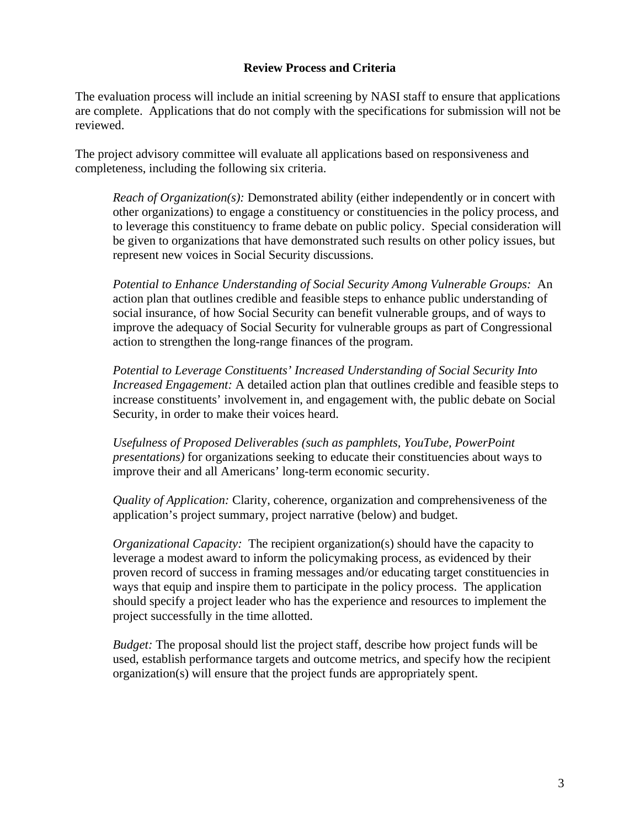#### **Review Process and Criteria**

The evaluation process will include an initial screening by NASI staff to ensure that applications are complete. Applications that do not comply with the specifications for submission will not be reviewed.

The project advisory committee will evaluate all applications based on responsiveness and completeness, including the following six criteria.

*Reach of Organization(s):* Demonstrated ability (either independently or in concert with other organizations) to engage a constituency or constituencies in the policy process, and to leverage this constituency to frame debate on public policy. Special consideration will be given to organizations that have demonstrated such results on other policy issues, but represent new voices in Social Security discussions.

*Potential to Enhance Understanding of Social Security Among Vulnerable Groups:*An action plan that outlines credible and feasible steps to enhance public understanding of social insurance, of how Social Security can benefit vulnerable groups, and of ways to improve the adequacy of Social Security for vulnerable groups as part of Congressional action to strengthen the long-range finances of the program.

*Potential to Leverage Constituents' Increased Understanding of Social Security Into Increased Engagement:* A detailed action plan that outlines credible and feasible steps to increase constituents' involvement in, and engagement with, the public debate on Social Security, in order to make their voices heard.

*Usefulness of Proposed Deliverables (such as pamphlets, YouTube, PowerPoint presentations)* for organizations seeking to educate their constituencies about ways to improve their and all Americans' long-term economic security.

*Quality of Application:* Clarity, coherence, organization and comprehensiveness of the application's project summary, project narrative (below) and budget.

*Organizational Capacity:* The recipient organization(s) should have the capacity to leverage a modest award to inform the policymaking process, as evidenced by their proven record of success in framing messages and/or educating target constituencies in ways that equip and inspire them to participate in the policy process. The application should specify a project leader who has the experience and resources to implement the project successfully in the time allotted.

*Budget:* The proposal should list the project staff, describe how project funds will be used, establish performance targets and outcome metrics, and specify how the recipient organization(s) will ensure that the project funds are appropriately spent.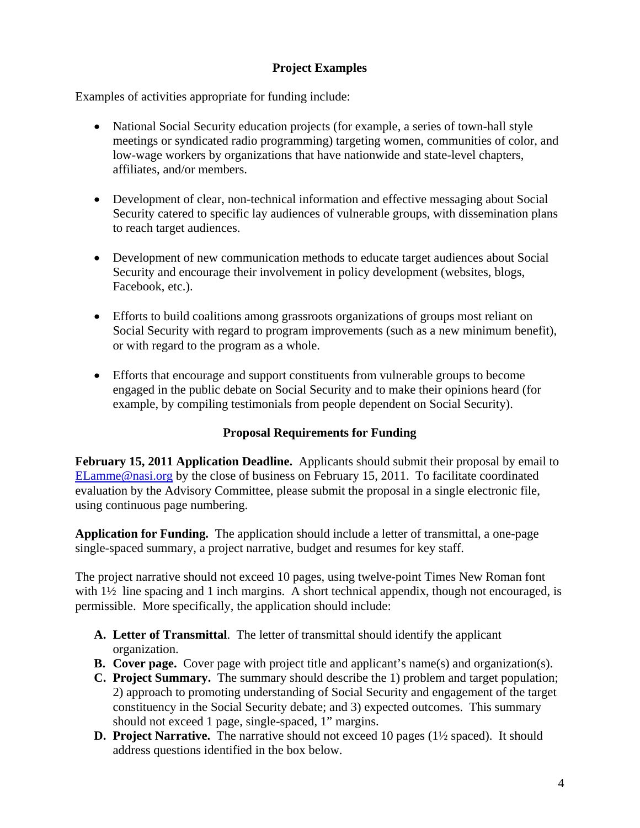# **Project Examples**

Examples of activities appropriate for funding include:

- National Social Security education projects (for example, a series of town-hall style meetings or syndicated radio programming) targeting women, communities of color, and low-wage workers by organizations that have nationwide and state-level chapters, affiliates, and/or members.
- Development of clear, non-technical information and effective messaging about Social Security catered to specific lay audiences of vulnerable groups, with dissemination plans to reach target audiences.
- Development of new communication methods to educate target audiences about Social Security and encourage their involvement in policy development (websites, blogs, Facebook, etc.).
- Efforts to build coalitions among grassroots organizations of groups most reliant on Social Security with regard to program improvements (such as a new minimum benefit), or with regard to the program as a whole.
- Efforts that encourage and support constituents from vulnerable groups to become engaged in the public debate on Social Security and to make their opinions heard (for example, by compiling testimonials from people dependent on Social Security).

### **Proposal Requirements for Funding**

**February 15, 2011 Application Deadline.** Applicants should submit their proposal by email to [ELamme@nasi.org](mailto:ELamme@nasi.org) by the close of business on February 15, 2011. To facilitate coordinated evaluation by the Advisory Committee, please submit the proposal in a single electronic file, using continuous page numbering.

**Application for Funding.** The application should include a letter of transmittal, a one-page single-spaced summary, a project narrative, budget and resumes for key staff.

The project narrative should not exceed 10 pages, using twelve-point Times New Roman font with  $1\frac{1}{2}$  line spacing and 1 inch margins. A short technical appendix, though not encouraged, is permissible. More specifically, the application should include:

- **A. Letter of Transmittal**. The letter of transmittal should identify the applicant organization.
- **B. Cover page.** Cover page with project title and applicant's name(s) and organization(s).
- **C. Project Summary.** The summary should describe the 1) problem and target population; 2) approach to promoting understanding of Social Security and engagement of the target constituency in the Social Security debate; and 3) expected outcomes. This summary should not exceed 1 page, single-spaced, 1" margins.
- **D. Project Narrative.** The narrative should not exceed 10 pages (1½ spaced). It should address questions identified in the box below.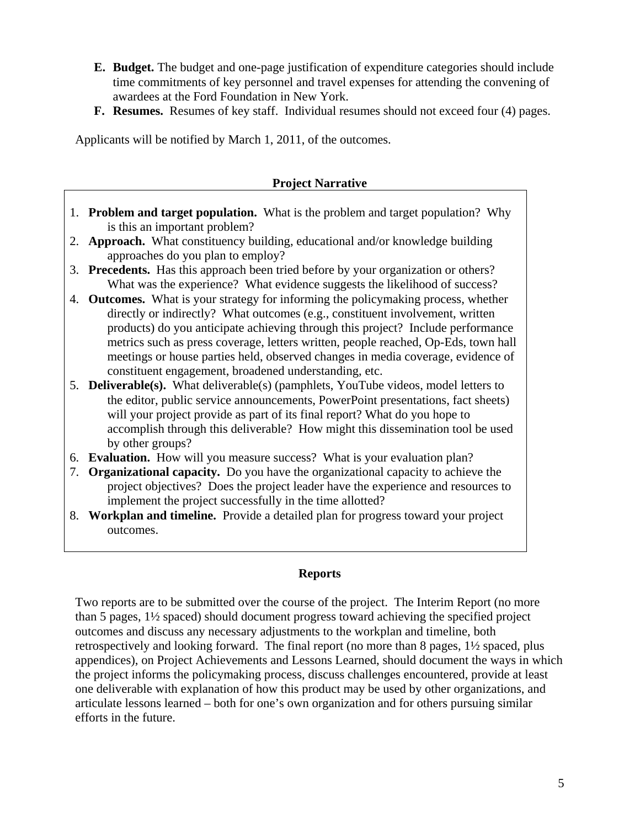- **E. Budget.** The budget and one-page justification of expenditure categories should include time commitments of key personnel and travel expenses for attending the convening of awardees at the Ford Foundation in New York.
- **F. Resumes.** Resumes of key staff. Individual resumes should not exceed four (4) pages.

Applicants will be notified by March 1, 2011, of the outcomes.

#### **Project Narrative**

- 1. **Problem and target population.** What is the problem and target population? Why is this an important problem?
- 2. **Approach.** What constituency building, educational and/or knowledge building approaches do you plan to employ?
- 3. **Precedents.** Has this approach been tried before by your organization or others? What was the experience? What evidence suggests the likelihood of success?
- 4. **Outcomes.** What is your strategy for informing the policymaking process, whether directly or indirectly? What outcomes (e.g., constituent involvement, written products) do you anticipate achieving through this project? Include performance metrics such as press coverage, letters written, people reached, Op-Eds, town hall meetings or house parties held, observed changes in media coverage, evidence of constituent engagement, broadened understanding, etc.
- 5. **Deliverable(s).** What deliverable(s) (pamphlets, YouTube videos, model letters to the editor, public service announcements, PowerPoint presentations, fact sheets) will your project provide as part of its final report? What do you hope to accomplish through this deliverable? How might this dissemination tool be used by other groups?
- 6. **Evaluation.** How will you measure success? What is your evaluation plan?
- 7. **Organizational capacity.** Do you have the organizational capacity to achieve the project objectives? Does the project leader have the experience and resources to implement the project successfully in the time allotted?
- 8. **Workplan and timeline.** Provide a detailed plan for progress toward your project outcomes.

#### **Reports**

Two reports are to be submitted over the course of the project. The Interim Report (no more than 5 pages, 1½ spaced) should document progress toward achieving the specified project outcomes and discuss any necessary adjustments to the workplan and timeline, both retrospectively and looking forward. The final report (no more than 8 pages, 1½ spaced, plus appendices), on Project Achievements and Lessons Learned, should document the ways in which the project informs the policymaking process, discuss challenges encountered, provide at least one deliverable with explanation of how this product may be used by other organizations, and articulate lessons learned – both for one's own organization and for others pursuing similar efforts in the future.